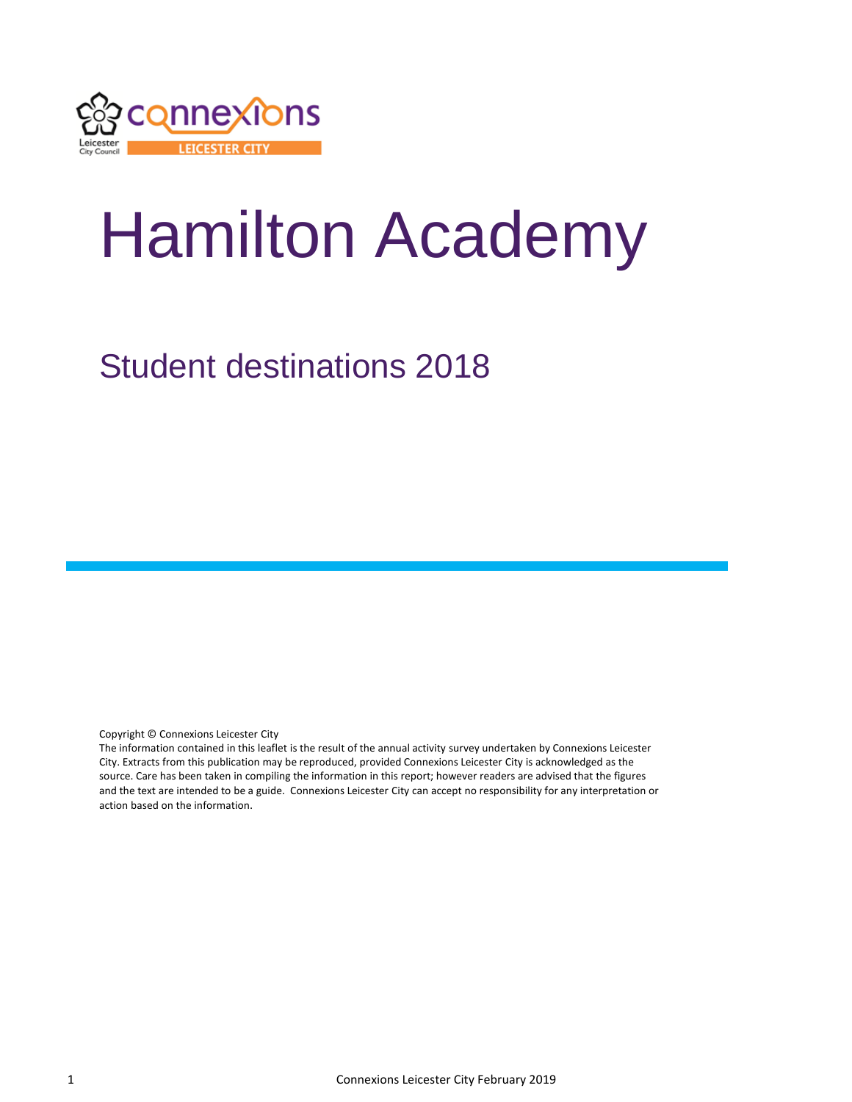

# Hamilton Academy

## Student destinations 2018

Copyright © Connexions Leicester City

The information contained in this leaflet is the result of the annual activity survey undertaken by Connexions Leicester City. Extracts from this publication may be reproduced, provided Connexions Leicester City is acknowledged as the source. Care has been taken in compiling the information in this report; however readers are advised that the figures and the text are intended to be a guide. Connexions Leicester City can accept no responsibility for any interpretation or action based on the information.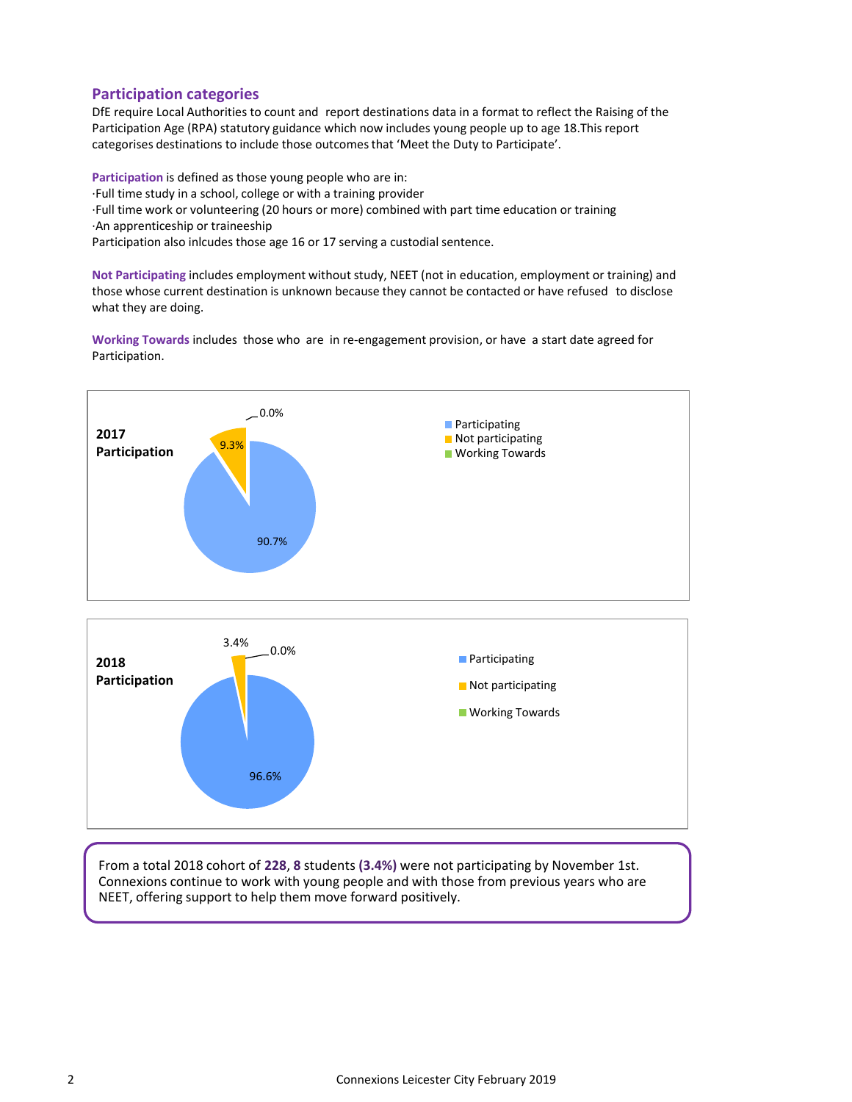#### **Participation categories**

DfE require Local Authorities to count and report destinations data in a format to reflect the Raising of the Participation Age (RPA) statutory guidance which now includes young people up to age 18.This report categorises destinations to include those outcomes that 'Meet the Duty to Participate'.

**Participation** is defined as those young people who are in: ·Full time study in a school, college or with a training provider ·Full time work or volunteering (20 hours or more) combined with part time education or training ·An apprenticeship or traineeship Participation also inlcudes those age 16 or 17 serving a custodial sentence.

**Not Participating** includes employment without study, NEET (not in education, employment or training) and those whose current destination is unknown because they cannot be contacted or have refused to disclose what they are doing.

**Working Towards** includes those who are in re-engagement provision, or have a start date agreed for Participation.



From a total 2018 cohort of **228**, **8** students **(3.4%)** were not participating by November 1st. Connexions continue to work with young people and with those from previous years who are NEET, offering support to help them move forward positively.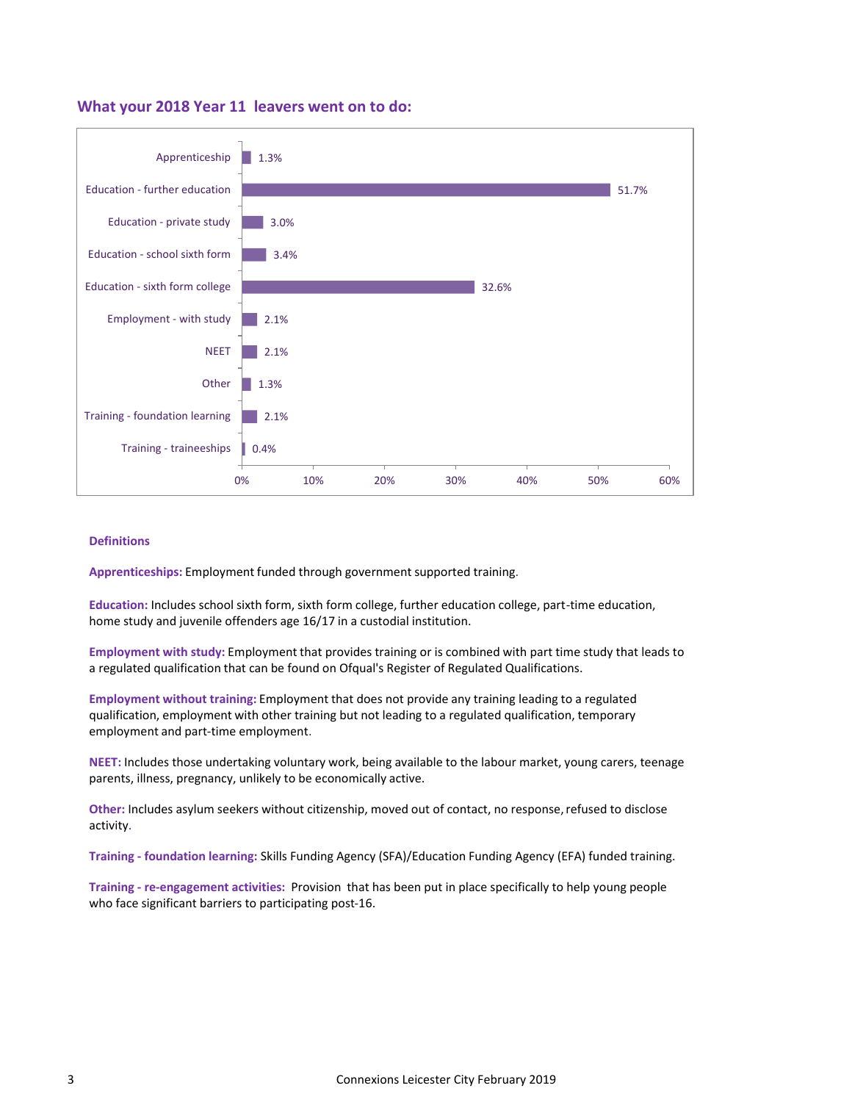#### **What your 2018 Year 11 leavers went on to do:**



#### **Definitions**

**Apprenticeships:** Employment funded through government supported training.

**Education:** Includes school sixth form, sixth form college, further education college, part-time education, home study and juvenile offenders age 16/17 in a custodial institution.

**Employment with study:** Employment that provides training or is combined with part time study that leads to a regulated qualification that can be found on Ofqual's Register of Regulated Qualifications.

**Employment without training:** Employment that does not provide any training leading to a regulated qualification, employment with other training but not leading to a regulated qualification, temporary employment and part-time employment.

**NEET:** Includes those undertaking voluntary work, being available to the labour market, young carers, teenage parents, illness, pregnancy, unlikely to be economically active.

**Other:** Includes asylum seekers without citizenship, moved out of contact, no response,refused to disclose activity.

**Training - foundation learning:** Skills Funding Agency (SFA)/Education Funding Agency (EFA) funded training.

**Training - re-engagement activities:** Provision that has been put in place specifically to help young people who face significant barriers to participating post-16.